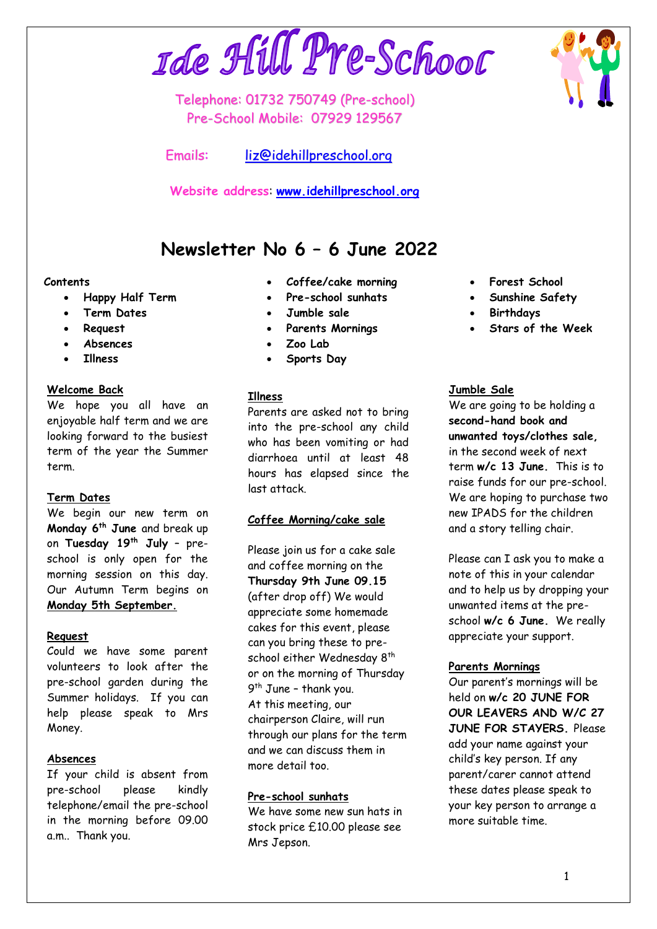# Ide Hill Pre-School

Telephone: 01732 750749 (Pre-school) Pre-School Mobile: 07929 129567

Emails: [liz@idehillpreschool.org](mailto:liz@idehillpreschool.org)

**Website address**: **[www.idehillpreschool.org](http://www.idehillpreschool.org/)**

# **Newsletter No 6 – 6 June 2022**

#### **Contents**

- **Happy Half Term**
- **Term Dates**
- **Request**
- **Absences**
- **Illness**

#### **Welcome Back**

We hope you all have an enjoyable half term and we are looking forward to the busiest term of the year the Summer term.

# **Term Dates**

We begin our new term on **Monday 6 th June** and break up on **Tuesday 19th July** – preschool is only open for the morning session on this day. Our Autumn Term begins on **Monday 5th September.**

#### **Request**

Could we have some parent volunteers to look after the pre-school garden during the Summer holidays. If you can help please speak to Mrs Money.

# **Absences**

If your child is absent from pre-school please kindly telephone/email the pre-school in the morning before 09.00 a.m.. Thank you.

- **Coffee/cake morning**
- **Pre-school sunhats**
- **Jumble sale**
- **Parents Mornings**
- **Zoo Lab**
- **Sports Day**

#### **Illness**

Parents are asked not to bring into the pre-school any child who has been vomiting or had diarrhoea until at least 48 hours has elapsed since the last attack.

# **Coffee Morning/cake sale**

Please join us for a cake sale and coffee morning on the **Thursday 9th June 09.15** (after drop off) We would appreciate some homemade cakes for this event, please can you bring these to preschool either Wednesday 8<sup>th</sup> or on the morning of Thursday 9<sup>th</sup> June - thank you. At this meeting, our chairperson Claire, will run through our plans for the term and we can discuss them in more detail too.

# **Pre-school sunhats**

We have some new sun hats in stock price £10.00 please see Mrs Jepson.

- **Forest School**
- **Sunshine Safety**
- **Birthdays**
- **Stars of the Week**

#### **Jumble Sale**

We are going to be holding a **second-hand book and unwanted toys/clothes sale,** in the second week of next term **w/c 13 June.** This is to raise funds for our pre-school. We are hoping to purchase two new IPADS for the children and a story telling chair.

Please can I ask you to make a note of this in your calendar and to help us by dropping your unwanted items at the preschool **w/c 6 June.** We really appreciate your support.

#### **Parents Mornings**

Our parent's mornings will be held on **w/c 20 JUNE FOR OUR LEAVERS AND W/C 27 JUNE FOR STAYERS.** Please add your name against your child's key person. If any parent/carer cannot attend these dates please speak to your key person to arrange a more suitable time.